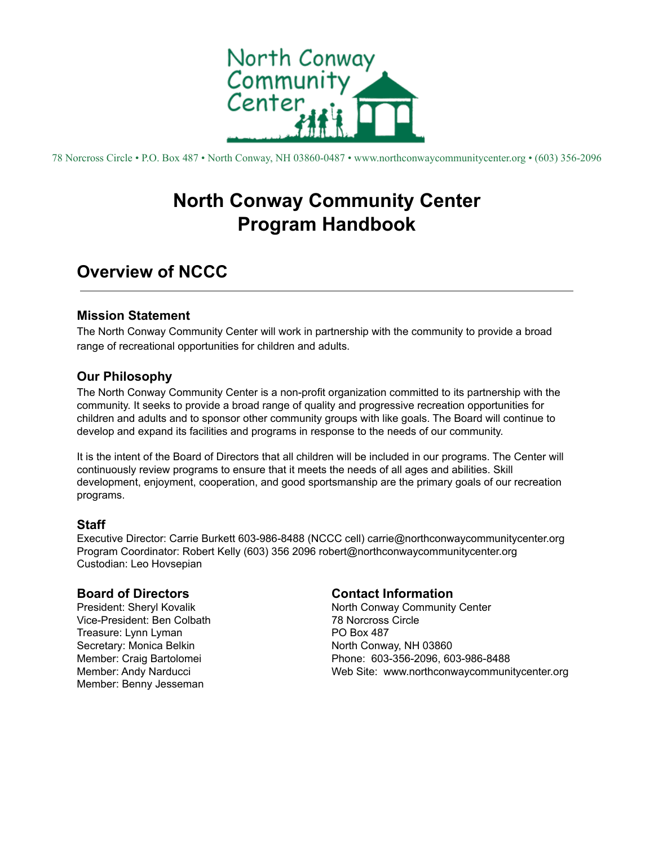

78 Norcross Circle • P.O. Box 487 • North Conway, NH 03860-0487 • www.northconwaycommunitycenter.org • (603) 356-2096

# **North Conway Community Center Program Handbook**

# **Overview of NCCC**

### **Mission Statement**

The North Conway Community Center will work in partnership with the community to provide a broad range of recreational opportunities for children and adults.

## **Our Philosophy**

The North Conway Community Center is a non-profit organization committed to its partnership with the community. It seeks to provide a broad range of quality and progressive recreation opportunities for children and adults and to sponsor other community groups with like goals. The Board will continue to develop and expand its facilities and programs in response to the needs of our community.

It is the intent of the Board of Directors that all children will be included in our programs. The Center will continuously review programs to ensure that it meets the needs of all ages and abilities. Skill development, enjoyment, cooperation, and good sportsmanship are the primary goals of our recreation programs.

## **Staff**

Executive Director: Carrie Burkett 603-986-8488 (NCCC cell) carrie@northconwaycommunitycenter.org Program Coordinator: Robert Kelly (603) 356 2096 robert@northconwaycommunitycenter.org Custodian: Leo Hovsepian

### **Board of Directors**

President: Sheryl Kovalik Vice-President: Ben Colbath Treasure: Lynn Lyman Secretary: Monica Belkin Member: Craig Bartolomei Member: Andy Narducci Member: Benny Jesseman

## **Contact Information**

North Conway Community Center 78 Norcross Circle PO Box 487 North Conway, NH 03860 Phone: 603-356-2096, 603-986-8488 Web Site: www.northconwaycommunitycenter.org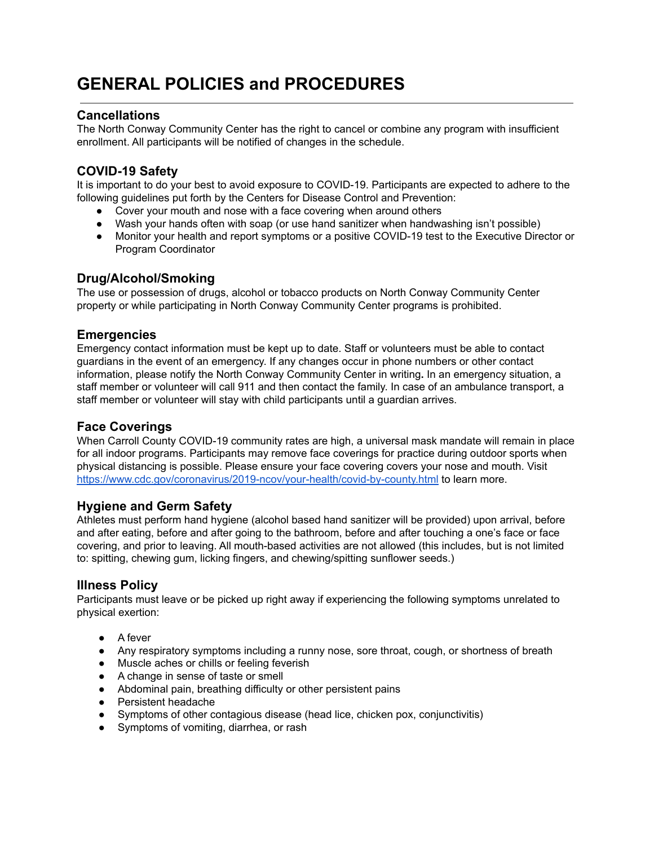# **GENERAL POLICIES and PROCEDURES**

### **Cancellations**

The North Conway Community Center has the right to cancel or combine any program with insufficient enrollment. All participants will be notified of changes in the schedule.

## **COVID-19 Safety**

It is important to do your best to avoid exposure to COVID-19. Participants are expected to adhere to the following guidelines put forth by the Centers for Disease Control and Prevention:

- Cover your mouth and nose with a face covering when around others
- Wash your hands often with soap (or use hand sanitizer when handwashing isn't possible)
- Monitor your health and report symptoms or a positive COVID-19 test to the Executive Director or Program Coordinator

### **Drug/Alcohol/Smoking**

The use or possession of drugs, alcohol or tobacco products on North Conway Community Center property or while participating in North Conway Community Center programs is prohibited.

### **Emergencies**

Emergency contact information must be kept up to date. Staff or volunteers must be able to contact guardians in the event of an emergency. If any changes occur in phone numbers or other contact information, please notify the North Conway Community Center in writing**.** In an emergency situation, a staff member or volunteer will call 911 and then contact the family. In case of an ambulance transport, a staff member or volunteer will stay with child participants until a guardian arrives.

### **Face Coverings**

When Carroll County COVID-19 community rates are high, a universal mask mandate will remain in place for all indoor programs. Participants may remove face coverings for practice during outdoor sports when physical distancing is possible. Please ensure your face covering covers your nose and mouth. Visit <https://www.cdc.gov/coronavirus/2019-ncov/your-health/covid-by-county.html> to learn more.

### **Hygiene and Germ Safety**

Athletes must perform hand hygiene (alcohol based hand sanitizer will be provided) upon arrival, before and after eating, before and after going to the bathroom, before and after touching a one's face or face covering, and prior to leaving. All mouth-based activities are not allowed (this includes, but is not limited to: spitting, chewing gum, licking fingers, and chewing/spitting sunflower seeds.)

### **Illness Policy**

Participants must leave or be picked up right away if experiencing the following symptoms unrelated to physical exertion:

- A fever
- Any respiratory symptoms including a runny nose, sore throat, cough, or shortness of breath
- Muscle aches or chills or feeling feverish
- A change in sense of taste or smell
- Abdominal pain, breathing difficulty or other persistent pains
- Persistent headache
- Symptoms of other contagious disease (head lice, chicken pox, conjunctivitis)
- Symptoms of vomiting, diarrhea, or rash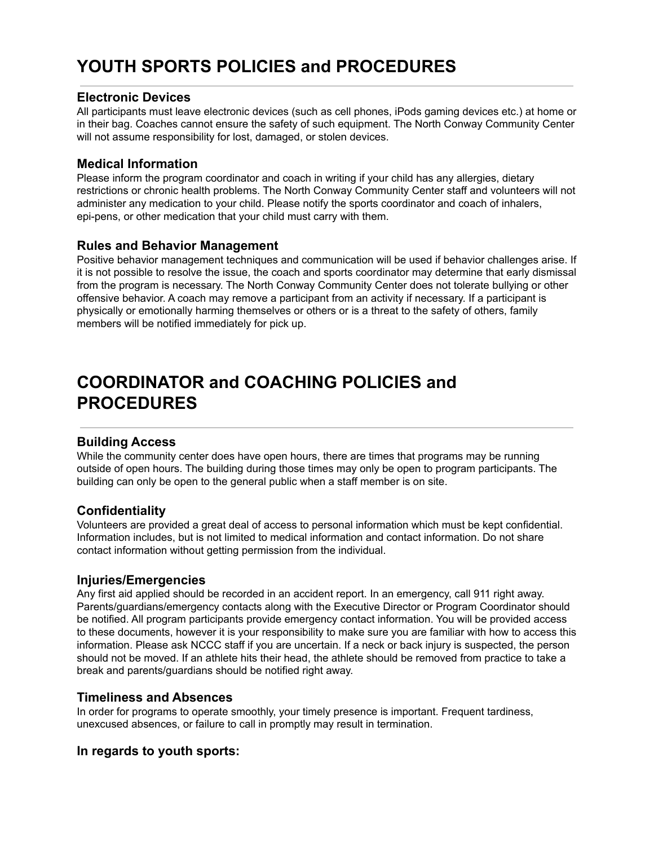# **YOUTH SPORTS POLICIES and PROCEDURES**

### **Electronic Devices**

All participants must leave electronic devices (such as cell phones, iPods gaming devices etc.) at home or in their bag. Coaches cannot ensure the safety of such equipment. The North Conway Community Center will not assume responsibility for lost, damaged, or stolen devices.

### **Medical Information**

Please inform the program coordinator and coach in writing if your child has any allergies, dietary restrictions or chronic health problems. The North Conway Community Center staff and volunteers will not administer any medication to your child. Please notify the sports coordinator and coach of inhalers, epi-pens, or other medication that your child must carry with them.

### **Rules and Behavior Management**

Positive behavior management techniques and communication will be used if behavior challenges arise. If it is not possible to resolve the issue, the coach and sports coordinator may determine that early dismissal from the program is necessary. The North Conway Community Center does not tolerate bullying or other offensive behavior. A coach may remove a participant from an activity if necessary. If a participant is physically or emotionally harming themselves or others or is a threat to the safety of others, family members will be notified immediately for pick up.

# **COORDINATOR and COACHING POLICIES and PROCEDURES**

### **Building Access**

While the community center does have open hours, there are times that programs may be running outside of open hours. The building during those times may only be open to program participants. The building can only be open to the general public when a staff member is on site.

## **Confidentiality**

Volunteers are provided a great deal of access to personal information which must be kept confidential. Information includes, but is not limited to medical information and contact information. Do not share contact information without getting permission from the individual.

### **Injuries/Emergencies**

Any first aid applied should be recorded in an accident report. In an emergency, call 911 right away. Parents/guardians/emergency contacts along with the Executive Director or Program Coordinator should be notified. All program participants provide emergency contact information. You will be provided access to these documents, however it is your responsibility to make sure you are familiar with how to access this information. Please ask NCCC staff if you are uncertain. If a neck or back injury is suspected, the person should not be moved. If an athlete hits their head, the athlete should be removed from practice to take a break and parents/guardians should be notified right away.

### **Timeliness and Absences**

In order for programs to operate smoothly, your timely presence is important. Frequent tardiness, unexcused absences, or failure to call in promptly may result in termination.

## **In regards to youth sports:**